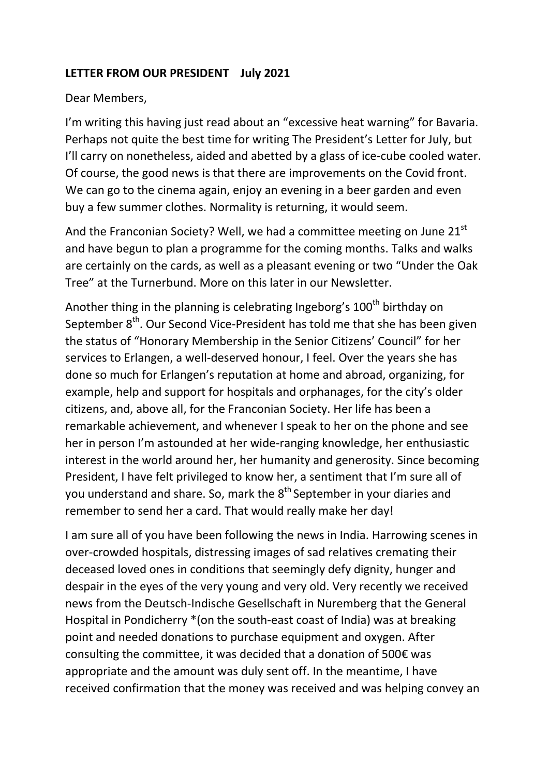## **LETTER FROM OUR PRESIDENT July 2021**

## Dear Members,

I'm writing this having just read about an "excessive heat warning" for Bavaria. Perhaps not quite the best time for writing The President's Letter for July, but I'll carry on nonetheless, aided and abetted by a glass of ice-cube cooled water. Of course, the good news is that there are improvements on the Covid front. We can go to the cinema again, enjoy an evening in a beer garden and even buy a few summer clothes. Normality is returning, it would seem.

And the Franconian Society? Well, we had a committee meeting on June  $21<sup>st</sup>$ and have begun to plan a programme for the coming months. Talks and walks are certainly on the cards, as well as a pleasant evening or two "Under the Oak Tree" at the Turnerbund. More on this later in our Newsletter.

Another thing in the planning is celebrating Ingeborg's 100<sup>th</sup> birthday on September 8<sup>th</sup>. Our Second Vice-President has told me that she has been given the status of "Honorary Membership in the Senior Citizens' Council" for her services to Erlangen, a well-deserved honour, I feel. Over the years she has done so much for Erlangen's reputation at home and abroad, organizing, for example, help and support for hospitals and orphanages, for the city's older citizens, and, above all, for the Franconian Society. Her life has been a remarkable achievement, and whenever I speak to her on the phone and see her in person I'm astounded at her wide-ranging knowledge, her enthusiastic interest in the world around her, her humanity and generosity. Since becoming President, I have felt privileged to know her, a sentiment that I'm sure all of you understand and share. So, mark the 8<sup>th</sup> September in your diaries and remember to send her a card. That would really make her day!

I am sure all of you have been following the news in India. Harrowing scenes in over-crowded hospitals, distressing images of sad relatives cremating their deceased loved ones in conditions that seemingly defy dignity, hunger and despair in the eyes of the very young and very old. Very recently we received news from the Deutsch-Indische Gesellschaft in Nuremberg that the General Hospital in Pondicherry \*(on the south-east coast of India) was at breaking point and needed donations to purchase equipment and oxygen. After consulting the committee, it was decided that a donation of 500€ was appropriate and the amount was duly sent off. In the meantime, I have received confirmation that the money was received and was helping convey an